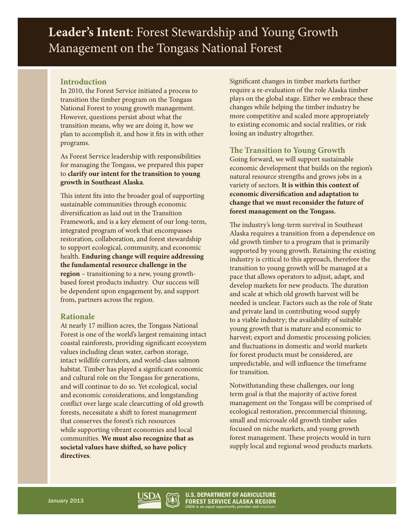**Leader's Intent**: Forest Stewardship and Young Growth Management on the Tongass National Forest

## **Introduction**

In 2010, the Forest Service initiated a process to transition the timber program on the Tongass National Forest to young growth management. However, questions persist about what the transition means, why we are doing it, how we plan to accomplish it, and how it fits in with other programs.

As Forest Service leadership with responsibilities for managing the Tongass, we prepared this paper to **clarify our intent for the transition to young growth in Southeast Alaska**.

This intent fits into the broader goal of supporting sustainable communities through economic diversification as laid out in the Transition Framework, and is a key element of our long-term, integrated program of work that encompasses restoration, collaboration, and forest stewardship to support ecological, community, and economic health. **Enduring change will require addressing the fundamental resource challenge in the region** – transitioning to a new, young growthbased forest products industry. Our success will be dependent upon engagement by, and support from, partners across the region.

## **Rationale**

At nearly 17 million acres, the Tongass National Forest is one of the world's largest remaining intact coastal rainforests, providing significant ecosystem values including clean water, carbon storage, intact wildlife corridors, and world-class salmon habitat. Timber has played a significant economic and cultural role on the Tongass for generations, and will continue to do so. Yet ecological, social and economic considerations, and longstanding conflict over large scale clearcutting of old growth forests, necessitate a shift to forest management that conserves the forest's rich resources while supporting vibrant economies and local communities. **We must also recognize that as societal values have shifted, so have policy directives**.

Significant changes in timber markets further require a re-evaluation of the role Alaska timber plays on the global stage. Either we embrace these changes while helping the timber industry be more competitive and scaled more appropriately to existing economic and social realities, or risk losing an industry altogether.

## **The Transition to Young Growth**

Going forward, we will support sustainable economic development that builds on the region's natural resource strengths and grows jobs in a variety of sectors. **It is within this context of economic diversification and adaptation to change that we must reconsider the future of forest management on the Tongass.**

The industry's long-term survival in Southeast Alaska requires a transition from a dependence on old growth timber to a program that is primarily supported by young growth. Retaining the existing industry is critical to this approach, therefore the transition to young growth will be managed at a pace that allows operators to adjust, adapt, and develop markets for new products. The duration and scale at which old growth harvest will be needed is unclear. Factors such as the role of State and private land in contributing wood supply to a viable industry; the availability of suitable young growth that is mature and economic to harvest; export and domestic processing policies; and fluctuations in domestic and world markets for forest products must be considered, are unpredictable, and will influence the timeframe for transition.

Notwithstanding these challenges, our long term goal is that the majority of active forest management on the Tongass will be comprised of ecological restoration, precommercial thinning, small and microsale old growth timber sales focused on niche markets, and young growth forest management. These projects would in turn supply local and regional wood products markets.